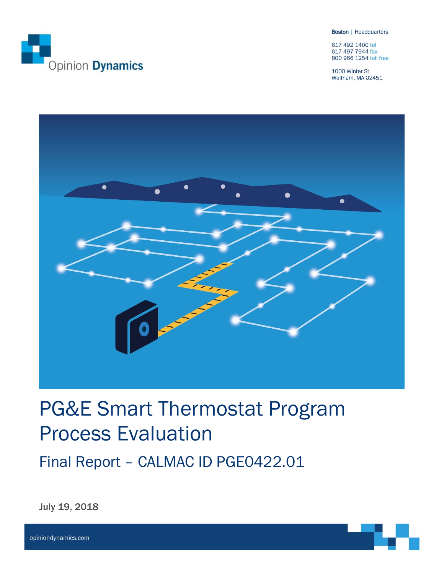

**Boston** | Headquarters

617 492 1400 tel 617 497 7944 fax 800 966 1254 toll free

1000 Winter St Waltham, MA 02451



# PG&E Smart Thermostat Program Process Evaluation

Final Report – CALMAC ID PGE0422.01

July 19, 2018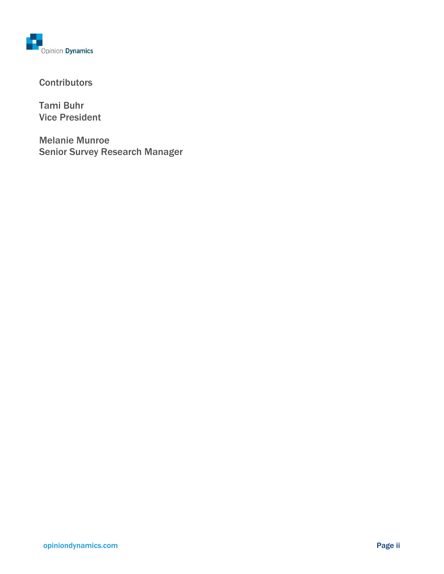

### **Contributors**

Tami Buhr Vice President

Melanie Munroe Senior Survey Research Manager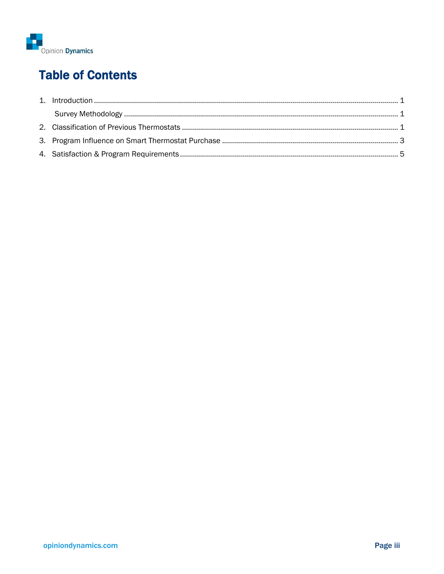

# **Table of Contents**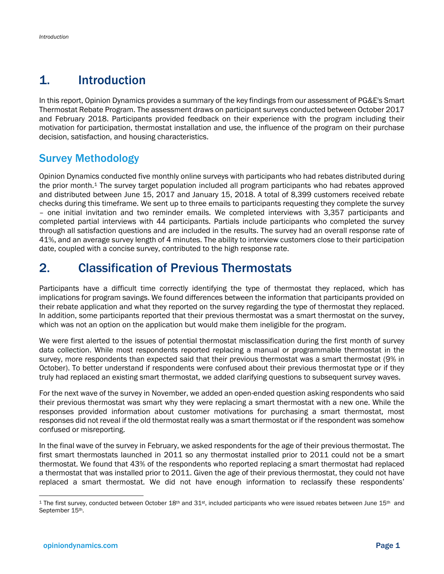# <span id="page-3-0"></span>1. Introduction

In this report, Opinion Dynamics provides a summary of the key findings from our assessment of PG&E's Smart Thermostat Rebate Program. The assessment draws on participant surveys conducted between October 2017 and February 2018. Participants provided feedback on their experience with the program including their motivation for participation, thermostat installation and use, the influence of the program on their purchase decision, satisfaction, and housing characteristics.

### <span id="page-3-1"></span>Survey Methodology

Opinion Dynamics conducted five monthly online surveys with participants who had rebates distributed during the prior month.<sup>1</sup> The survey target population included all program participants who had rebates approved and distributed between June 15, 2017 and January 15, 2018. A total of 8,399 customers received rebate checks during this timeframe. We sent up to three emails to participants requesting they complete the survey – one initial invitation and two reminder emails. We completed interviews with 3,357 participants and completed partial interviews with 44 participants. Partials include participants who completed the survey through all satisfaction questions and are included in the results. The survey had an overall response rate of 41%, and an average survey length of 4 minutes. The ability to interview customers close to their participation date, coupled with a concise survey, contributed to the high response rate.

# <span id="page-3-2"></span>2. Classification of Previous Thermostats

Participants have a difficult time correctly identifying the type of thermostat they replaced, which has implications for program savings. We found differences between the information that participants provided on their rebate application and what they reported on the survey regarding the type of thermostat they replaced. In addition, some participants reported that their previous thermostat was a smart thermostat on the survey, which was not an option on the application but would make them ineligible for the program.

We were first alerted to the issues of potential thermostat misclassification during the first month of survey data collection. While most respondents reported replacing a manual or programmable thermostat in the survey, more respondents than expected said that their previous thermostat was a smart thermostat (9% in October). To better understand if respondents were confused about their previous thermostat type or if they truly had replaced an existing smart thermostat, we added clarifying questions to subsequent survey waves.

For the next wave of the survey in November, we added an open-ended question asking respondents who said their previous thermostat was smart why they were replacing a smart thermostat with a new one. While the responses provided information about customer motivations for purchasing a smart thermostat, most responses did not reveal if the old thermostat really was a smart thermostat or if the respondent was somehow confused or misreporting.

In the final wave of the survey in February, we asked respondents for the age of their previous thermostat. The first smart thermostats launched in 2011 so any thermostat installed prior to 2011 could not be a smart thermostat. We found that 43% of the respondents who reported replacing a smart thermostat had replaced a thermostat that was installed prior to 2011. Given the age of their previous thermostat, they could not have replaced a smart thermostat. We did not have enough information to reclassify these respondents'

<sup>&</sup>lt;sup>1</sup> The first survey, conducted between October  $18th$  and  $31st$ , included participants who were issued rebates between June  $15th$  and September 15th.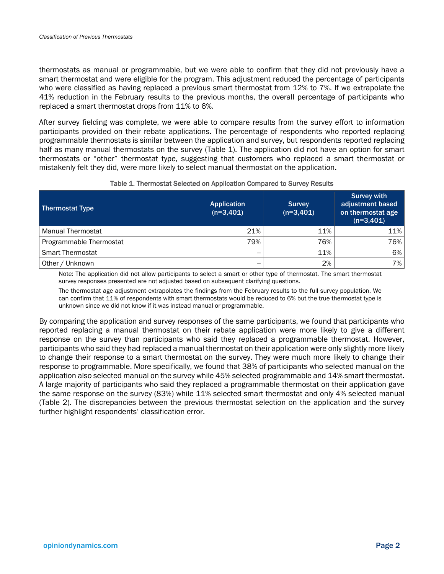thermostats as manual or programmable, but we were able to confirm that they did not previously have a smart thermostat and were eligible for the program. This adjustment reduced the percentage of participants who were classified as having replaced a previous smart thermostat from 12% to 7%. If we extrapolate the 41% reduction in the February results to the previous months, the overall percentage of participants who replaced a smart thermostat drops from 11% to 6%.

After survey fielding was complete, we were able to compare results from the survey effort to information participants provided on their rebate applications. The percentage of respondents who reported replacing programmable thermostats is similar between the application and survey, but respondents reported replacing half as many manual thermostats on the survey [\(Table 1\)](#page-4-0). The application did not have an option for smart thermostats or "other" thermostat type, suggesting that customers who replaced a smart thermostat or mistakenly felt they did, were more likely to select manual thermostat on the application.

<span id="page-4-0"></span>

| <b>Thermostat Type</b>  | <b>Application</b><br>$(n=3,401)$ | <b>Survey</b><br>$(n=3,401)$ | <b>Survey with</b><br>adjustment based<br>on thermostat age<br>$(n=3,401)$ |  |  |
|-------------------------|-----------------------------------|------------------------------|----------------------------------------------------------------------------|--|--|
| Manual Thermostat       | 21%                               | 11%                          | 11%                                                                        |  |  |
| Programmable Thermostat | 79%                               | 76%                          | 76%                                                                        |  |  |
| l Smart Thermostat      | --                                | 11%                          | 6%                                                                         |  |  |
| Other / Unknown         | $- -$                             | 2%                           | 7%                                                                         |  |  |

#### Table 1. Thermostat Selected on Application Compared to Survey Results

Note: The application did not allow participants to select a smart or other type of thermostat. The smart thermostat survey responses presented are not adjusted based on subsequent clarifying questions.

The thermostat age adjustment extrapolates the findings from the February results to the full survey population. We can confirm that 11% of respondents with smart thermostats would be reduced to 6% but the true thermostat type is unknown since we did not know if it was instead manual or programmable.

By comparing the application and survey responses of the same participants, we found that participants who reported replacing a manual thermostat on their rebate application were more likely to give a different response on the survey than participants who said they replaced a programmable thermostat. However, participants who said they had replaced a manual thermostat on their application were only slightly more likely to change their response to a smart thermostat on the survey. They were much more likely to change their response to programmable. More specifically, we found that 38% of participants who selected manual on the application also selected manual on the survey while 45% selected programmable and 14% smart thermostat. A large majority of participants who said they replaced a programmable thermostat on their application gave the same response on the survey (83%) while 11% selected smart thermostat and only 4% selected manual [\(Table 2\)](#page-5-1). The discrepancies between the previous thermostat selection on the application and the survey further highlight respondents' classification error.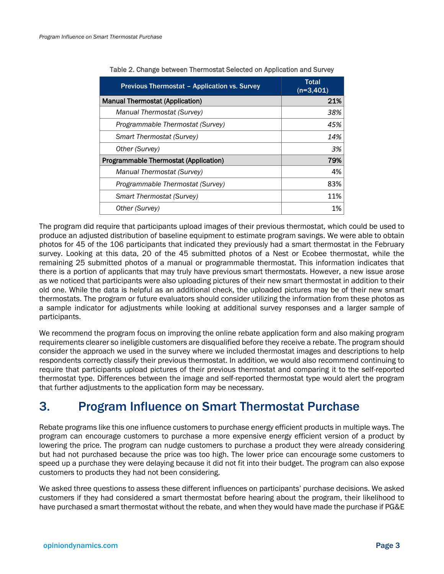<span id="page-5-1"></span>

| <b>Previous Thermostat - Application vs. Survey</b> | Total<br>$(n=3,401)$ |  |  |
|-----------------------------------------------------|----------------------|--|--|
| <b>Manual Thermostat (Application)</b>              | 21%                  |  |  |
| Manual Thermostat (Survey)                          | 38%                  |  |  |
| Programmable Thermostat (Survey)                    | 45%                  |  |  |
| Smart Thermostat (Survey)                           | 14%                  |  |  |
| Other (Survey)                                      | 3%                   |  |  |
| <b>Programmable Thermostat (Application)</b>        | 79%                  |  |  |
| Manual Thermostat (Survey)                          | 4%                   |  |  |
| Programmable Thermostat (Survey)                    | 83%                  |  |  |
| <b>Smart Thermostat (Survey)</b>                    | 11%                  |  |  |
| Other (Survey)                                      | 1%                   |  |  |

|  | Table 2. Change between Thermostat Selected on Application and Survey |  |  |  |
|--|-----------------------------------------------------------------------|--|--|--|
|  |                                                                       |  |  |  |

The program did require that participants upload images of their previous thermostat, which could be used to produce an adjusted distribution of baseline equipment to estimate program savings. We were able to obtain photos for 45 of the 106 participants that indicated they previously had a smart thermostat in the February survey. Looking at this data, 20 of the 45 submitted photos of a Nest or Ecobee thermostat, while the remaining 25 submitted photos of a manual or programmable thermostat. This information indicates that there is a portion of applicants that may truly have previous smart thermostats. However, a new issue arose as we noticed that participants were also uploading pictures of their new smart thermostat in addition to their old one. While the data is helpful as an additional check, the uploaded pictures may be of their new smart thermostats. The program or future evaluators should consider utilizing the information from these photos as a sample indicator for adjustments while looking at additional survey responses and a larger sample of participants.

We recommend the program focus on improving the online rebate application form and also making program requirements clearer so ineligible customers are disqualified before they receive a rebate. The program should consider the approach we used in the survey where we included thermostat images and descriptions to help respondents correctly classify their previous thermostat. In addition, we would also recommend continuing to require that participants upload pictures of their previous thermostat and comparing it to the self-reported thermostat type. Differences between the image and self-reported thermostat type would alert the program that further adjustments to the application form may be necessary.

### <span id="page-5-0"></span>3. Program Influence on Smart Thermostat Purchase

Rebate programs like this one influence customers to purchase energy efficient products in multiple ways. The program can encourage customers to purchase a more expensive energy efficient version of a product by lowering the price. The program can nudge customers to purchase a product they were already considering but had not purchased because the price was too high. The lower price can encourage some customers to speed up a purchase they were delaying because it did not fit into their budget. The program can also expose customers to products they had not been considering.

We asked three questions to assess these different influences on participants' purchase decisions. We asked customers if they had considered a smart thermostat before hearing about the program, their likelihood to have purchased a smart thermostat without the rebate, and when they would have made the purchase if PG&E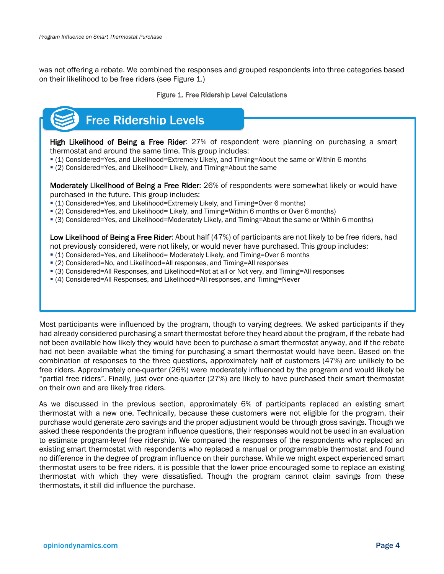<span id="page-6-0"></span>was not offering a rebate. We combined the responses and grouped respondents into three categories based on their likelihood to be free riders (see [Figure 1.](#page-6-0))

#### Figure 1. Free Ridership Level Calculations

# Free Ridership Levels

High Likelihood of Being a Free Rider: 27% of respondent were planning on purchasing a smart thermostat and around the same time. This group includes:

- (1) Considered=Yes, and Likelihood=Extremely Likely, and Timing=About the same or Within 6 months
- (2) Considered=Yes, and Likelihood= Likely, and Timing=About the same

Moderately Likelihood of Being a Free Rider: 26% of respondents were somewhat likely or would have purchased in the future. This group includes:

- (1) Considered=Yes, and Likelihood=Extremely Likely, and Timing=Over 6 months)
- (2) Considered=Yes, and Likelihood= Likely, and Timing=Within 6 months or Over 6 months)
- (3) Considered=Yes, and Likelihood=Moderately Likely, and Timing=About the same or Within 6 months)

Low Likelihood of Being a Free Rider: About half (47%) of participants are not likely to be free riders, had not previously considered, were not likely, or would never have purchased. This group includes:

- (1) Considered=Yes, and Likelihood= Moderately Likely, and Timing=Over 6 months
- (2) Considered=No, and Likelihood=All responses, and Timing=All responses
- (3) Considered=All Responses, and Likelihood=Not at all or Not very, and Timing=All responses
- (4) Considered=All Responses, and Likelihood=All responses, and Timing=Never

Most participants were influenced by the program, though to varying degrees. We asked participants if they had already considered purchasing a smart thermostat before they heard about the program, if the rebate had not been available how likely they would have been to purchase a smart thermostat anyway, and if the rebate had not been available what the timing for purchasing a smart thermostat would have been. Based on the combination of responses to the three questions, approximately half of customers (47%) are unlikely to be free riders. Approximately one-quarter (26%) were moderately influenced by the program and would likely be "partial free riders". Finally, just over one-quarter (27%) are likely to have purchased their smart thermostat on their own and are likely free riders.

As we discussed in the previous section, approximately 6% of participants replaced an existing smart thermostat with a new one. Technically, because these customers were not eligible for the program, their purchase would generate zero savings and the proper adjustment would be through gross savings. Though we asked these respondents the program influence questions, their responses would not be used in an evaluation to estimate program-level free ridership. We compared the responses of the respondents who replaced an existing smart thermostat with respondents who replaced a manual or programmable thermostat and found no difference in the degree of program influence on their purchase. While we might expect experienced smart thermostat users to be free riders, it is possible that the lower price encouraged some to replace an existing thermostat with which they were dissatisfied. Though the program cannot claim savings from these thermostats, it still did influence the purchase.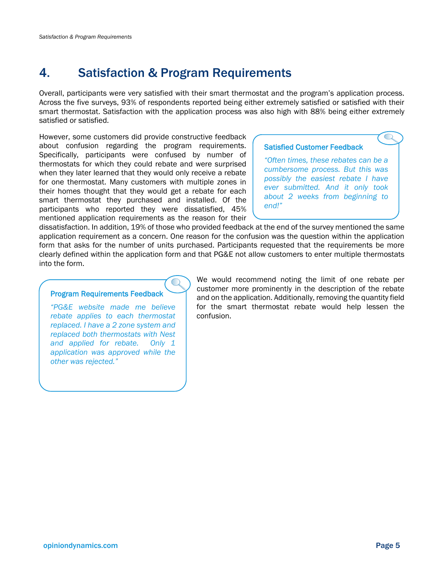# <span id="page-7-0"></span>4. Satisfaction & Program Requirements

Overall, participants were very satisfied with their smart thermostat and the program's application process. Across the five surveys, 93% of respondents reported being either extremely satisfied or satisfied with their smart thermostat. Satisfaction with the application process was also high with 88% being either extremely satisfied or satisfied.

However, some customers did provide constructive feedback about confusion regarding the program requirements. Specifically, participants were confused by number of thermostats for which they could rebate and were surprised when they later learned that they would only receive a rebate for one thermostat. Many customers with multiple zones in their homes thought that they would get a rebate for each smart thermostat they purchased and installed. Of the participants who reported they were dissatisfied, 45% mentioned application requirements as the reason for their

#### Satisfied Customer Feedback

*"Often times, these rebates can be a cumbersome process. But this was possibly the easiest rebate I have ever submitted. And it only took about 2 weeks from beginning to end!"*

dissatisfaction. In addition, 19% of those who provided feedback at the end of the survey mentioned the same application requirement as a concern. One reason for the confusion was the question within the application form that asks for the number of units purchased. Participants requested that the requirements be more clearly defined within the application form and that PG&E not allow customers to enter multiple thermostats into the form.

#### Program Requirements Feedback

*"PG&E website made me believe rebate applies to each thermostat replaced. I have a 2 zone system and replaced both thermostats with Nest and applied for rebate. Only 1 application was approved while the other was rejected."*

We would recommend noting the limit of one rebate per customer more prominently in the description of the rebate and on the application. Additionally, removing the quantity field for the smart thermostat rebate would help lessen the confusion.